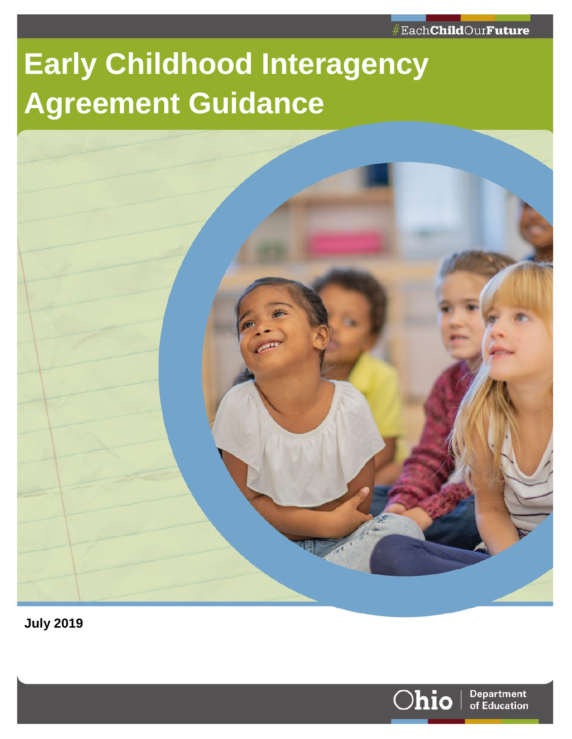# **Early Childhood Interagency Agreement Guidance**



**July 2019**

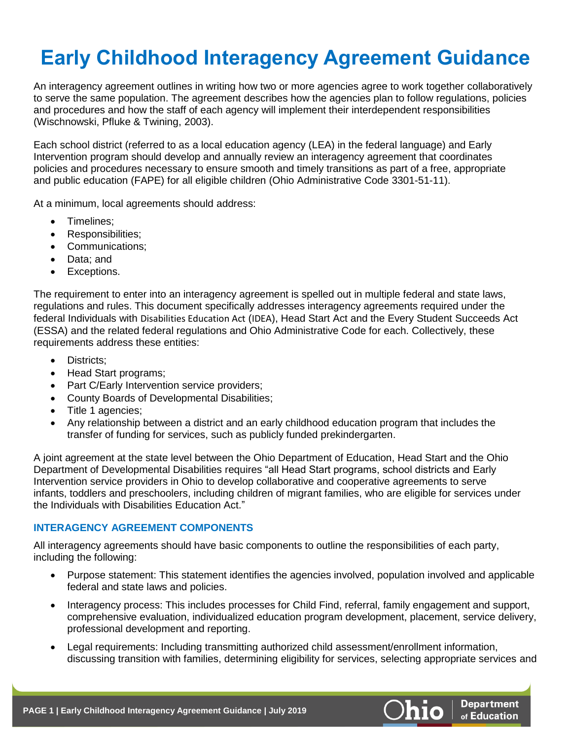# **Early Childhood Interagency Agreement Guidance**

An interagency agreement outlines in writing how two or more agencies agree to work together collaboratively to serve the same population. The agreement describes how the agencies plan to follow regulations, policies and procedures and how the staff of each agency will implement their interdependent responsibilities (Wischnowski, Pfluke & Twining, 2003).

Each school district (referred to as a local education agency (LEA) in the federal language) and Early Intervention program should develop and annually review an interagency agreement that coordinates policies and procedures necessary to ensure smooth and timely transitions as part of a free, appropriate and public education (FAPE) for all eligible children (Ohio Administrative Code 3301-51-11).

At a minimum, local agreements should address:

- Timelines;
- Responsibilities;
- Communications;
- Data; and
- Exceptions.

The requirement to enter into an interagency agreement is spelled out in multiple federal and state laws, regulations and rules. This document specifically addresses interagency agreements required under the federal Individuals with Disabilities Education Act (IDEA), Head Start Act and the Every Student Succeeds Act (ESSA) and the related federal regulations and Ohio Administrative Code for each. Collectively, these requirements address these entities:

- Districts:
- Head Start programs;
- Part C/Early Intervention service providers;
- County Boards of Developmental Disabilities;
- Title 1 agencies;
- Any relationship between a district and an early childhood education program that includes the transfer of funding for services, such as publicly funded prekindergarten.

A joint agreement at the state level between the Ohio Department of Education, Head Start and the Ohio Department of Developmental Disabilities requires "all Head Start programs, school districts and Early Intervention service providers in Ohio to develop collaborative and cooperative agreements to serve infants, toddlers and preschoolers, including children of migrant families, who are eligible for services under the Individuals with Disabilities Education Act."

# **INTERAGENCY AGREEMENT COMPONENTS**

All interagency agreements should have basic components to outline the responsibilities of each party, including the following:

- Purpose statement: This statement identifies the agencies involved, population involved and applicable federal and state laws and policies.
- Interagency process: This includes processes for Child Find, referral, family engagement and support, comprehensive evaluation, individualized education program development, placement, service delivery, professional development and reporting.
- Legal requirements: Including transmitting authorized child assessment/enrollment information, discussing transition with families, determining eligibility for services, selecting appropriate services and

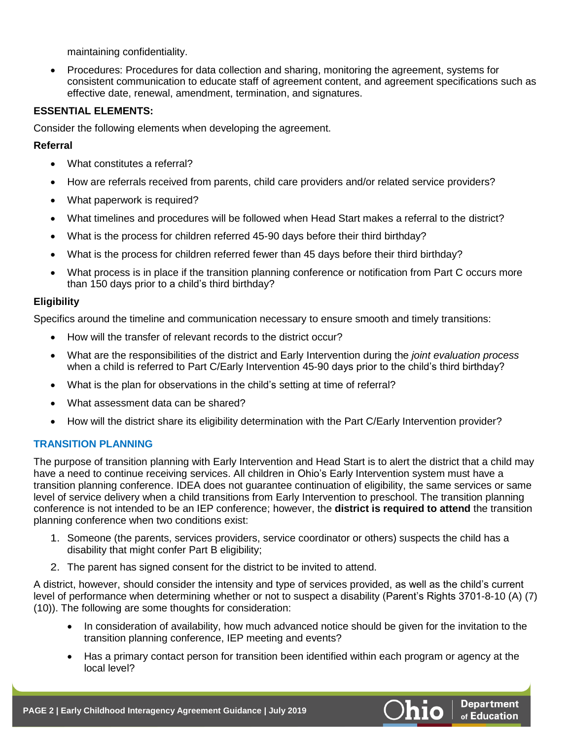maintaining confidentiality.

• Procedures: Procedures for data collection and sharing, monitoring the agreement, systems for consistent communication to educate staff of agreement content, and agreement specifications such as effective date, renewal, amendment, termination, and signatures.

## **ESSENTIAL ELEMENTS:**

Consider the following elements when developing the agreement.

# **Referral**

- What constitutes a referral?
- How are referrals received from parents, child care providers and/or related service providers?
- What paperwork is required?
- What timelines and procedures will be followed when Head Start makes a referral to the district?
- What is the process for children referred 45-90 days before their third birthday?
- What is the process for children referred fewer than 45 days before their third birthday?
- What process is in place if the transition planning conference or notification from Part C occurs more than 150 days prior to a child's third birthday?

### **Eligibility**

Specifics around the timeline and communication necessary to ensure smooth and timely transitions:

- How will the transfer of relevant records to the district occur?
- What are the responsibilities of the district and Early Intervention during the *joint evaluation process* when a child is referred to Part C/Early Intervention 45-90 days prior to the child's third birthday?
- What is the plan for observations in the child's setting at time of referral?
- What assessment data can be shared?
- How will the district share its eligibility determination with the Part C/Early Intervention provider?

# **TRANSITION PLANNING**

The purpose of transition planning with Early Intervention and Head Start is to alert the district that a child may have a need to continue receiving services. All children in Ohio's Early Intervention system must have a transition planning conference. IDEA does not guarantee continuation of eligibility, the same services or same level of service delivery when a child transitions from Early Intervention to preschool. The transition planning conference is not intended to be an IEP conference; however, the **district is required to attend** the transition planning conference when two conditions exist:

- 1. Someone (the parents, services providers, service coordinator or others) suspects the child has a disability that might confer Part B eligibility;
- 2. The parent has signed consent for the district to be invited to attend.

A district, however, should consider the intensity and type of services provided, as well as the child's current level of performance when determining whether or not to suspect a disability (Parent's Rights 3701-8-10 (A) (7) (10)). The following are some thoughts for consideration:

- In consideration of availability, how much advanced notice should be given for the invitation to the transition planning conference, IEP meeting and events?
- Has a primary contact person for transition been identified within each program or agency at the local level?

**Department** of Education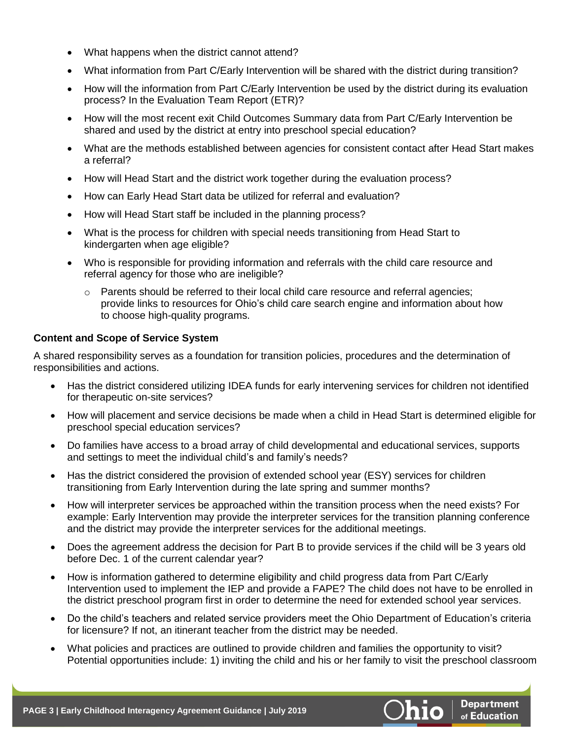- What happens when the district cannot attend?
- What information from Part C/Early Intervention will be shared with the district during transition?
- How will the information from Part C/Early Intervention be used by the district during its evaluation process? In the Evaluation Team Report (ETR)?
- How will the most recent exit Child Outcomes Summary data from Part C/Early Intervention be shared and used by the district at entry into preschool special education?
- What are the methods established between agencies for consistent contact after Head Start makes a referral?
- How will Head Start and the district work together during the evaluation process?
- How can Early Head Start data be utilized for referral and evaluation?
- How will Head Start staff be included in the planning process?
- What is the process for children with special needs transitioning from Head Start to kindergarten when age eligible?
- Who is responsible for providing information and referrals with the child care resource and referral agency for those who are ineligible?
	- $\circ$  Parents should be referred to their local child care resource and referral agencies; provide links to resources for Ohio's child care search engine and information about how to choose high-quality programs.

#### **Content and Scope of Service System**

A shared responsibility serves as a foundation for transition policies, procedures and the determination of responsibilities and actions.

- Has the district considered utilizing IDEA funds for early intervening services for children not identified for therapeutic on-site services?
- How will placement and service decisions be made when a child in Head Start is determined eligible for preschool special education services?
- Do families have access to a broad array of child developmental and educational services, supports and settings to meet the individual child's and family's needs?
- Has the district considered the provision of extended school year (ESY) services for children transitioning from Early Intervention during the late spring and summer months?
- How will interpreter services be approached within the transition process when the need exists? For example: Early Intervention may provide the interpreter services for the transition planning conference and the district may provide the interpreter services for the additional meetings.
- Does the agreement address the decision for Part B to provide services if the child will be 3 years old before Dec. 1 of the current calendar year?
- How is information gathered to determine eligibility and child progress data from Part C/Early Intervention used to implement the IEP and provide a FAPE? The child does not have to be enrolled in the district preschool program first in order to determine the need for extended school year services.
- Do the child's teachers and related service providers meet the Ohio Department of Education's criteria for licensure? If not, an itinerant teacher from the district may be needed.
- What policies and practices are outlined to provide children and families the opportunity to visit? Potential opportunities include: 1) inviting the child and his or her family to visit the preschool classroom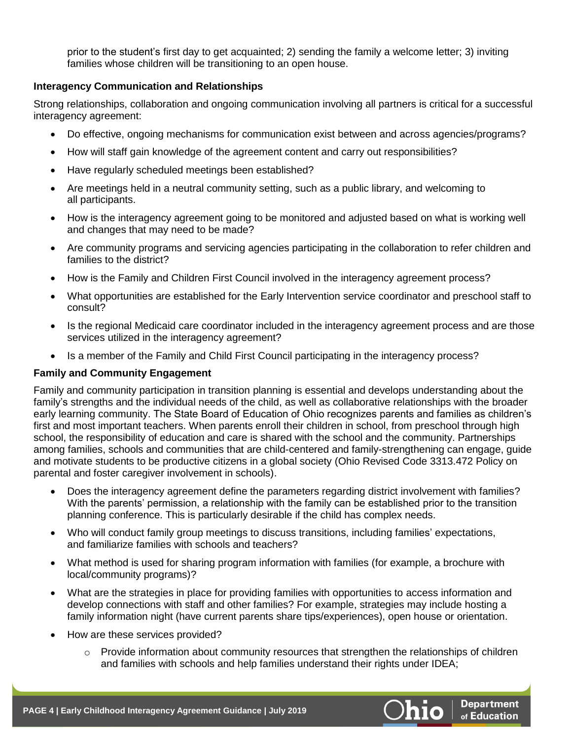prior to the student's first day to get acquainted; 2) sending the family a welcome letter; 3) inviting families whose children will be transitioning to an open house.

#### **Interagency Communication and Relationships**

Strong relationships, collaboration and ongoing communication involving all partners is critical for a successful interagency agreement:

- Do effective, ongoing mechanisms for communication exist between and across agencies/programs?
- How will staff gain knowledge of the agreement content and carry out responsibilities?
- Have regularly scheduled meetings been established?
- Are meetings held in a neutral community setting, such as a public library, and welcoming to all participants.
- How is the interagency agreement going to be monitored and adjusted based on what is working well and changes that may need to be made?
- Are community programs and servicing agencies participating in the collaboration to refer children and families to the district?
- How is the Family and Children First Council involved in the interagency agreement process?
- What opportunities are established for the Early Intervention service coordinator and preschool staff to consult?
- Is the regional Medicaid care coordinator included in the interagency agreement process and are those services utilized in the interagency agreement?
- Is a member of the Family and Child First Council participating in the interagency process?

#### **Family and Community Engagement**

Family and community participation in transition planning is essential and develops understanding about the family's strengths and the individual needs of the child, as well as collaborative relationships with the broader early learning community. The State Board of Education of Ohio recognizes parents and families as children's first and most important teachers. When parents enroll their children in school, from preschool through high school, the responsibility of education and care is shared with the school and the community. Partnerships among families, schools and communities that are child-centered and family-strengthening can engage, guide and motivate students to be productive citizens in a global society (Ohio Revised Code 3313.472 Policy on parental and foster caregiver involvement in schools).

- Does the interagency agreement define the parameters regarding district involvement with families? With the parents' permission, a relationship with the family can be established prior to the transition planning conference. This is particularly desirable if the child has complex needs.
- Who will conduct family group meetings to discuss transitions, including families' expectations, and familiarize families with schools and teachers?
- What method is used for sharing program information with families (for example, a brochure with local/community programs)?
- What are the strategies in place for providing families with opportunities to access information and develop connections with staff and other families? For example, strategies may include hosting a family information night (have current parents share tips/experiences), open house or orientation.
- How are these services provided?
	- $\circ$  Provide information about community resources that strengthen the relationships of children and families with schools and help families understand their rights under IDEA;

**Department** of Education